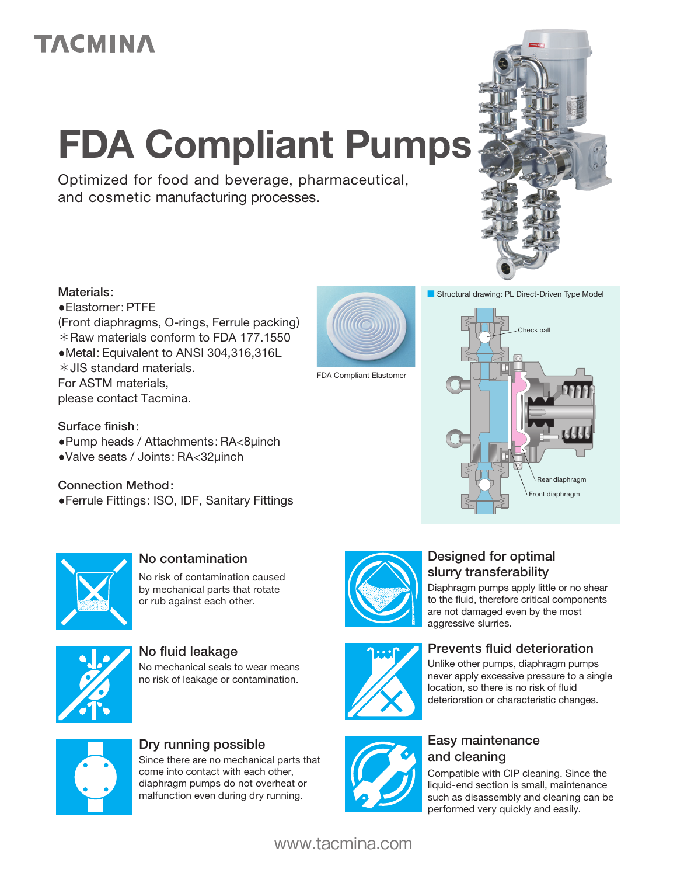## **TACMINA**

# FDA Compliant Pumps

Optimized for food and beverage, pharmaceutical, and cosmetic manufacturing processes.



#### Materials:

●Elastomer: PTFE (Front diaphragms, O-rings, Ferrule packing) \*Raw materials conform to FDA 177.1550 ●Metal: Equivalent to ANSI 304,316,316L \*JIS standard materials. For ASTM materials, please contact Tacmina.



FDA Compliant Elastomer

#### Surface finish:

- ●Pump heads / Attachments: RA<8μinch
- ●Valve seats / Joints: RA<32μinch

#### Connection Method:

●Ferrule Fittings: ISO, IDF, Sanitary Fittings





## No contamination

No risk of contamination caused by mechanical parts that rotate or rub against each other.



#### No fluid leakage  $P_{\text{rel}}$  Prevents fluid deterioration No mechanical seals to wear means





#### Dry running possible **Easy maintenance**

Since there are no mechanical parts that come into contact with each other, diaphragm pumps do not overheat or malfunction even during dry running.



#### Designed for optimal slurry transferability

Diaphragm pumps apply little or no shear to the fluid, therefore critical components are not damaged even by the most aggressive slurries.



Unlike other pumps, diaphragm pumps never apply excessive pressure to a single location, so there is no risk of fluid deterioration or characteristic changes.



## and cleaning

Compatible with CIP cleaning. Since the liquid-end section is small, maintenance such as disassembly and cleaning can be performed very quickly and easily.

### www.tacmina.com